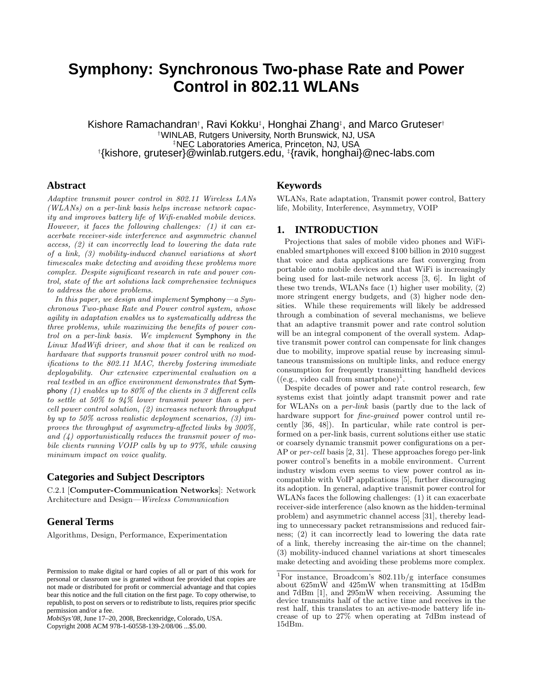# **Symphony: Synchronous Two-phase Rate and Power Control in 802.11 WLANs**

Kishore Ramachandran<sup>†</sup>, Ravi Kokku<sup>‡</sup>, Honghai Zhang<sup>‡</sup>, and Marco Gruteser<sup>†</sup> †WINLAB, Rutgers University, North Brunswick, NJ, USA ‡NEC Laboratories America, Princeton, NJ, USA † {kishore, gruteser}@winlab.rutgers.edu, ‡ {ravik, honghai}@nec-labs.com

# **Abstract**

Adaptive transmit power control in 802.11 Wireless LANs (WLANs) on a per-link basis helps increase network capacity and improves battery life of Wifi-enabled mobile devices. However, it faces the following challenges: (1) it can exacerbate receiver-side interference and asymmetric channel access, (2) it can incorrectly lead to lowering the data rate of a link, (3) mobility-induced channel variations at short timescales make detecting and avoiding these problems more complex. Despite significant research in rate and power control, state of the art solutions lack comprehensive techniques to address the above problems.

In this paper, we design and implement Symphony—a Synchronous Two-phase Rate and Power control system, whose agility in adaptation enables us to systematically address the three problems, while maximizing the benefits of power control on a per-link basis. We implement Symphony in the Linux MadWifi driver, and show that it can be realized on hardware that supports transmit power control with no modifications to the 802.11 MAC, thereby fostering immediate deployability. Our extensive experimental evaluation on a real testbed in an office environment demonstrates that Symphony  $(1)$  enables up to 80% of the clients in 3 different cells to settle at 50% to 94% lower transmit power than a percell power control solution, (2) increases network throughput by up to 50% across realistic deployment scenarios,  $(3)$  improves the throughput of asymmetry-affected links by 300%, and  $(4)$  opportunistically reduces the transmit power of mobile clients running VOIP calls by up to 97%, while causing minimum impact on voice quality.

## **Categories and Subject Descriptors**

C.2.1 [Computer-Communication Networks]: Network Architecture and Design—Wireless Communication

# **General Terms**

Algorithms, Design, Performance, Experimentation

*MobiSys'08,* June 17–20, 2008, Breckenridge, Colorado, USA. Copyright 2008 ACM 978-1-60558-139-2/08/06 ...\$5.00.

# **Keywords**

WLANs, Rate adaptation, Transmit power control, Battery life, Mobility, Interference, Asymmetry, VOIP

### **1. INTRODUCTION**

Projections that sales of mobile video phones and WiFienabled smartphones will exceed \$100 billion in 2010 suggest that voice and data applications are fast converging from portable onto mobile devices and that WiFi is increasingly being used for last-mile network access [3, 6]. In light of these two trends, WLANs face (1) higher user mobility, (2) more stringent energy budgets, and (3) higher node densities. While these requirements will likely be addressed through a combination of several mechanisms, we believe that an adaptive transmit power and rate control solution will be an integral component of the overall system. Adaptive transmit power control can compensate for link changes due to mobility, improve spatial reuse by increasing simultaneous transmissions on multiple links, and reduce energy consumption for frequently transmitting handheld devices  $((e.g., video call from smartphone)<sup>1</sup>.$ 

Despite decades of power and rate control research, few systems exist that jointly adapt transmit power and rate for WLANs on a per-link basis (partly due to the lack of hardware support for *fine-grained* power control until recently [36, 48]). In particular, while rate control is performed on a per-link basis, current solutions either use static or coarsely dynamic transmit power configurations on a per-AP or per-cell basis [2, 31]. These approaches forego per-link power control's benefits in a mobile environment. Current industry wisdom even seems to view power control as incompatible with VoIP applications [5], further discouraging its adoption. In general, adaptive transmit power control for WLANs faces the following challenges: (1) it can exacerbate receiver-side interference (also known as the hidden-terminal problem) and asymmetric channel access [31], thereby leading to unnecessary packet retransmissions and reduced fairness; (2) it can incorrectly lead to lowering the data rate of a link, thereby increasing the air-time on the channel; (3) mobility-induced channel variations at short timescales make detecting and avoiding these problems more complex.

Permission to make digital or hard copies of all or part of this work for personal or classroom use is granted without fee provided that copies are not made or distributed for profit or commercial advantage and that copies bear this notice and the full citation on the first page. To copy otherwise, to republish, to post on servers or to redistribute to lists, requires prior specific permission and/or a fee.

<sup>1</sup>For instance, Broadcom's 802.11b/g interface consumes about 625mW and 425mW when transmitting at 15dBm and 7dBm [1], and 295mW when receiving. Assuming the device transmits half of the active time and receives in the rest half, this translates to an active-mode battery life increase of up to 27% when operating at 7dBm instead of 15dBm.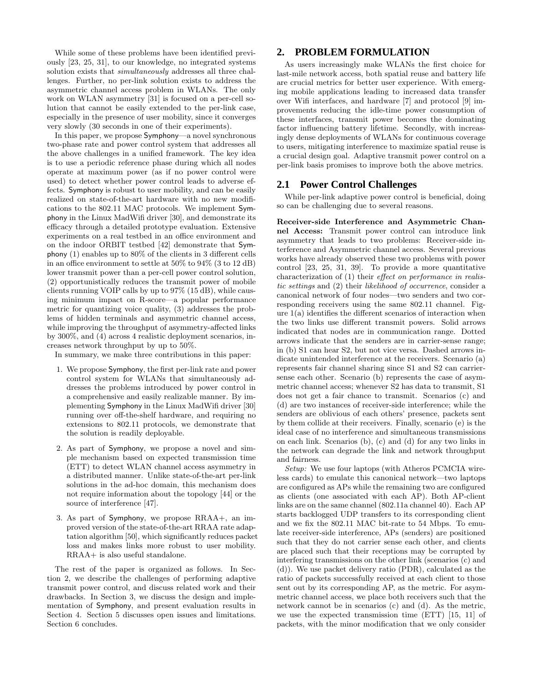While some of these problems have been identified previously [23, 25, 31], to our knowledge, no integrated systems solution exists that simultaneously addresses all three challenges. Further, no per-link solution exists to address the asymmetric channel access problem in WLANs. The only work on WLAN asymmetry [31] is focused on a per-cell solution that cannot be easily extended to the per-link case, especially in the presence of user mobility, since it converges very slowly (30 seconds in one of their experiments).

In this paper, we propose Symphony—a novel synchronous two-phase rate and power control system that addresses all the above challenges in a unified framework. The key idea is to use a periodic reference phase during which all nodes operate at maximum power (as if no power control were used) to detect whether power control leads to adverse effects. Symphony is robust to user mobility, and can be easily realized on state-of-the-art hardware with no new modifications to the 802.11 MAC protocols. We implement Symphony in the Linux MadWifi driver [30], and demonstrate its efficacy through a detailed prototype evaluation. Extensive experiments on a real testbed in an office environment and on the indoor ORBIT testbed [42] demonstrate that Symphony (1) enables up to 80% of the clients in 3 different cells in an office environment to settle at 50% to 94% (3 to 12 dB) lower transmit power than a per-cell power control solution, (2) opportunistically reduces the transmit power of mobile clients running VOIP calls by up to 97% (15 dB), while causing minimum impact on R-score—a popular performance metric for quantizing voice quality, (3) addresses the problems of hidden terminals and asymmetric channel access, while improving the throughput of asymmetry-affected links by 300%, and (4) across 4 realistic deployment scenarios, increases network throughput by up to 50%.

In summary, we make three contributions in this paper:

- 1. We propose Symphony, the first per-link rate and power control system for WLANs that simultaneously addresses the problems introduced by power control in a comprehensive and easily realizable manner. By implementing Symphony in the Linux MadWifi driver [30] running over off-the-shelf hardware, and requiring no extensions to 802.11 protocols, we demonstrate that the solution is readily deployable.
- 2. As part of Symphony, we propose a novel and simple mechanism based on expected transmission time (ETT) to detect WLAN channel access asymmetry in a distributed manner. Unlike state-of-the-art per-link solutions in the ad-hoc domain, this mechanism does not require information about the topology [44] or the source of interference [47].
- 3. As part of Symphony, we propose RRAA+, an improved version of the state-of-the-art RRAA rate adaptation algorithm [50], which significantly reduces packet loss and makes links more robust to user mobility. RRAA+ is also useful standalone.

The rest of the paper is organized as follows. In Section 2, we describe the challenges of performing adaptive transmit power control, and discuss related work and their drawbacks. In Section 3, we discuss the design and implementation of Symphony, and present evaluation results in Section 4. Section 5 discusses open issues and limitations. Section 6 concludes.

# **2. PROBLEM FORMULATION**

As users increasingly make WLANs the first choice for last-mile network access, both spatial reuse and battery life are crucial metrics for better user experience. With emerging mobile applications leading to increased data transfer over Wifi interfaces, and hardware [7] and protocol [9] improvements reducing the idle-time power consumption of these interfaces, transmit power becomes the dominating factor influencing battery lifetime. Secondly, with increasingly dense deployments of WLANs for continuous coverage to users, mitigating interference to maximize spatial reuse is a crucial design goal. Adaptive transmit power control on a per-link basis promises to improve both the above metrics.

# **2.1 Power Control Challenges**

While per-link adaptive power control is beneficial, doing so can be challenging due to several reasons.

Receiver-side Interference and Asymmetric Channel Access: Transmit power control can introduce link asymmetry that leads to two problems: Receiver-side interference and Asymmetric channel access. Several previous works have already observed these two problems with power control [23, 25, 31, 39]. To provide a more quantitative characterization of (1) their effect on performance in realistic settings and (2) their likelihood of occurrence, consider a canonical network of four nodes—two senders and two corresponding receivers using the same 802.11 channel. Figure  $1(a)$  identifies the different scenarios of interaction when the two links use different transmit powers. Solid arrows indicated that nodes are in communication range. Dotted arrows indicate that the senders are in carrier-sense range; in (b) S1 can hear S2, but not vice versa. Dashed arrows indicate unintended interference at the receivers. Scenario (a) represents fair channel sharing since S1 and S2 can carriersense each other. Scenario (b) represents the case of asymmetric channel access; whenever S2 has data to transmit, S1 does not get a fair chance to transmit. Scenarios (c) and (d) are two instances of receiver-side interference; while the senders are oblivious of each others' presence, packets sent by them collide at their receivers. Finally, scenario (e) is the ideal case of no interference and simultaneous transmissions on each link. Scenarios (b), (c) and (d) for any two links in the network can degrade the link and network throughput and fairness.

Setup: We use four laptops (with Atheros PCMCIA wireless cards) to emulate this canonical network—two laptops are configured as APs while the remaining two are configured as clients (one associated with each AP). Both AP-client links are on the same channel (802.11a channel 40). Each AP starts backlogged UDP transfers to its corresponding client and we fix the 802.11 MAC bit-rate to 54 Mbps. To emulate receiver-side interference, APs (senders) are positioned such that they do not carrier sense each other, and clients are placed such that their receptions may be corrupted by interfering transmissions on the other link (scenarios (c) and (d)). We use packet delivery ratio (PDR), calculated as the ratio of packets successfully received at each client to those sent out by its corresponding AP, as the metric. For asymmetric channel access, we place both receivers such that the network cannot be in scenarios (c) and (d). As the metric, we use the expected transmission time (ETT) [15, 11] of packets, with the minor modification that we only consider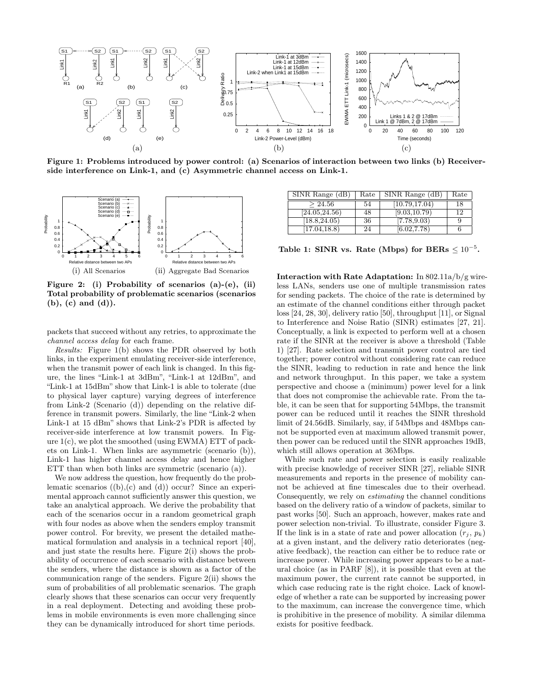

Figure 1: Problems introduced by power control: (a) Scenarios of interaction between two links (b) Receiverside interference on Link-1, and (c) Asymmetric channel access on Link-1.



Figure 2: (i) Probability of scenarios (a)-(e), (ii) Total probability of problematic scenarios (scenarios (b), (c) and (d)).

packets that succeed without any retries, to approximate the channel access delay for each frame.

Results: Figure 1(b) shows the PDR observed by both links, in the experiment emulating receiver-side interference, when the transmit power of each link is changed. In this figure, the lines "Link-1 at 3dBm", "Link-1 at 12dBm", and "Link-1 at 15dBm" show that Link-1 is able to tolerate (due to physical layer capture) varying degrees of interference from Link-2 (Scenario (d)) depending on the relative difference in transmit powers. Similarly, the line "Link-2 when Link-1 at 15 dBm" shows that Link-2's PDR is affected by receiver-side interference at low transmit powers. In Figure  $1(c)$ , we plot the smoothed (using EWMA) ETT of packets on Link-1. When links are asymmetric (scenario (b)), Link-1 has higher channel access delay and hence higher ETT than when both links are symmetric (scenario (a)).

We now address the question, how frequently do the problematic scenarios ((b),(c) and (d)) occur? Since an experimental approach cannot sufficiently answer this question, we take an analytical approach. We derive the probability that each of the scenarios occur in a random geometrical graph with four nodes as above when the senders employ transmit power control. For brevity, we present the detailed mathematical formulation and analysis in a technical report [40], and just state the results here. Figure 2(i) shows the probability of occurrence of each scenario with distance between the senders, where the distance is shown as a factor of the communication range of the senders. Figure 2(ii) shows the sum of probabilities of all problematic scenarios. The graph clearly shows that these scenarios can occur very frequently in a real deployment. Detecting and avoiding these problems in mobile environments is even more challenging since they can be dynamically introduced for short time periods.

| $SINR$ Range $(dB)$ | Rate | $SINR$ Range $(dB)$ | Rate |
|---------------------|------|---------------------|------|
| > 24.56             | 54   | [10.79, 17.04]      | 18   |
| [24.05, 24.56]      | 48   | [9.03, 10.79]       | 12   |
| [18.8, 24.05]       | 36   | [7.78, 9.03]        | Q    |
| (17.04, 18.8)       | 24   | [6.02, 7.78]        |      |

Table 1: SINR vs. Rate (Mbps) for BERs  $\leq 10^{-5}$ .

Interaction with Rate Adaptation: In  $802.11a/b/g$  wireless LANs, senders use one of multiple transmission rates for sending packets. The choice of the rate is determined by an estimate of the channel conditions either through packet loss [24, 28, 30], delivery ratio [50], throughput [11], or Signal to Interference and Noise Ratio (SINR) estimates [27, 21]. Conceptually, a link is expected to perform well at a chosen rate if the SINR at the receiver is above a threshold (Table 1) [27]. Rate selection and transmit power control are tied together; power control without considering rate can reduce the SINR, leading to reduction in rate and hence the link and network throughput. In this paper, we take a system perspective and choose a (minimum) power level for a link that does not compromise the achievable rate. From the table, it can be seen that for supporting 54Mbps, the transmit power can be reduced until it reaches the SINR threshold limit of 24.56dB. Similarly, say, if 54Mbps and 48Mbps cannot be supported even at maximum allowed transmit power, then power can be reduced until the SINR approaches 19dB, which still allows operation at 36Mbps.

While such rate and power selection is easily realizable with precise knowledge of receiver SINR [27], reliable SINR measurements and reports in the presence of mobility cannot be achieved at fine timescales due to their overhead. Consequently, we rely on estimating the channel conditions based on the delivery ratio of a window of packets, similar to past works [50]. Such an approach, however, makes rate and power selection non-trivial. To illustrate, consider Figure 3. If the link is in a state of rate and power allocation  $(r_i, p_k)$ at a given instant, and the delivery ratio deteriorates (negative feedback), the reaction can either be to reduce rate or increase power. While increasing power appears to be a natural choice (as in PARF [8]), it is possible that even at the maximum power, the current rate cannot be supported, in which case reducing rate is the right choice. Lack of knowledge of whether a rate can be supported by increasing power to the maximum, can increase the convergence time, which is prohibitive in the presence of mobility. A similar dilemma exists for positive feedback.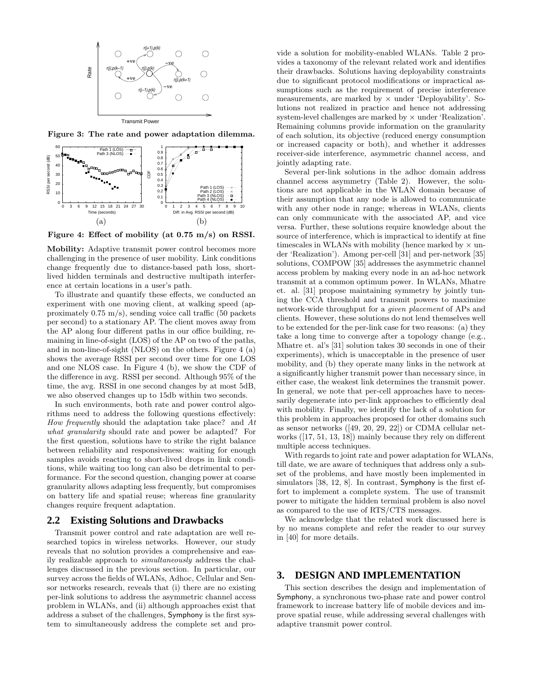



Figure 3: The rate and power adaptation dilemma.

Figure 4: Effect of mobility (at  $0.75$  m/s) on RSSI.

Mobility: Adaptive transmit power control becomes more challenging in the presence of user mobility. Link conditions change frequently due to distance-based path loss, shortlived hidden terminals and destructive multipath interference at certain locations in a user's path.

To illustrate and quantify these effects, we conducted an experiment with one moving client, at walking speed (approximately 0.75 m/s), sending voice call traffic (50 packets per second) to a stationary AP. The client moves away from the AP along four different paths in our office building, remaining in line-of-sight (LOS) of the AP on two of the paths, and in non-line-of-sight (NLOS) on the others. Figure 4 (a) shows the average RSSI per second over time for one LOS and one NLOS case. In Figure 4 (b), we show the CDF of the difference in avg. RSSI per second. Although 95% of the time, the avg. RSSI in one second changes by at most 5dB, we also observed changes up to 15db within two seconds.

In such environments, both rate and power control algorithms need to address the following questions effectively: How frequently should the adaptation take place? and At what granularity should rate and power be adapted? For the first question, solutions have to strike the right balance between reliability and responsiveness: waiting for enough samples avoids reacting to short-lived drops in link conditions, while waiting too long can also be detrimental to performance. For the second question, changing power at coarse granularity allows adapting less frequently, but compromises on battery life and spatial reuse; whereas fine granularity changes require frequent adaptation.

### **2.2 Existing Solutions and Drawbacks**

Transmit power control and rate adaptation are well researched topics in wireless networks. However, our study reveals that no solution provides a comprehensive and easily realizable approach to simultaneously address the challenges discussed in the previous section. In particular, our survey across the fields of WLANs, Adhoc, Cellular and Sensor networks research, reveals that (i) there are no existing per-link solutions to address the asymmetric channel access problem in WLANs, and (ii) although approaches exist that address a subset of the challenges, Symphony is the first system to simultaneously address the complete set and provide a solution for mobility-enabled WLANs. Table 2 provides a taxonomy of the relevant related work and identifies their drawbacks. Solutions having deployability constraints due to significant protocol modifications or impractical assumptions such as the requirement of precise interference measurements, are marked by  $\times$  under 'Deployability'. Solutions not realized in practice and hence not addressing system-level challenges are marked by  $\times$  under 'Realization'. Remaining columns provide information on the granularity of each solution, its objective (reduced energy consumption or increased capacity or both), and whether it addresses receiver-side interference, asymmetric channel access, and jointly adapting rate.

Several per-link solutions in the adhoc domain address channel access asymmetry (Table 2). However, the solutions are not applicable in the WLAN domain because of their assumption that any node is allowed to communicate with any other node in range; whereas in WLANs, clients can only communicate with the associated AP, and vice versa. Further, these solutions require knowledge about the source of interference, which is impractical to identify at fine timescales in WLANs with mobility (hence marked by  $\times$  under 'Realization'). Among per-cell [31] and per-network [35] solutions, COMPOW [35] addresses the asymmetric channel access problem by making every node in an ad-hoc network transmit at a common optimum power. In WLANs, Mhatre et. al. [31] propose maintaining symmetry by jointly tuning the CCA threshold and transmit powers to maximize network-wide throughput for a given placement of APs and clients. However, these solutions do not lend themselves well to be extended for the per-link case for two reasons: (a) they take a long time to converge after a topology change (e.g., Mhatre et. al's [31] solution takes 30 seconds in one of their experiments), which is unacceptable in the presence of user mobility, and (b) they operate many links in the network at a significantly higher transmit power than necessary since, in either case, the weakest link determines the transmit power. In general, we note that per-cell approaches have to necessarily degenerate into per-link approaches to efficiently deal with mobility. Finally, we identify the lack of a solution for this problem in approaches proposed for other domains such as sensor networks ([49, 20, 29, 22]) or CDMA cellular networks ([17, 51, 13, 18]) mainly because they rely on different multiple access techniques.

With regards to joint rate and power adaptation for WLANs, till date, we are aware of techniques that address only a subset of the problems, and have mostly been implemented in simulators [38, 12, 8]. In contrast, Symphony is the first effort to implement a complete system. The use of transmit power to mitigate the hidden terminal problem is also novel as compared to the use of RTS/CTS messages.

We acknowledge that the related work discussed here is by no means complete and refer the reader to our survey in [40] for more details.

### **3. DESIGN AND IMPLEMENTATION**

This section describes the design and implementation of Symphony, a synchronous two-phase rate and power control framework to increase battery life of mobile devices and improve spatial reuse, while addressing several challenges with adaptive transmit power control.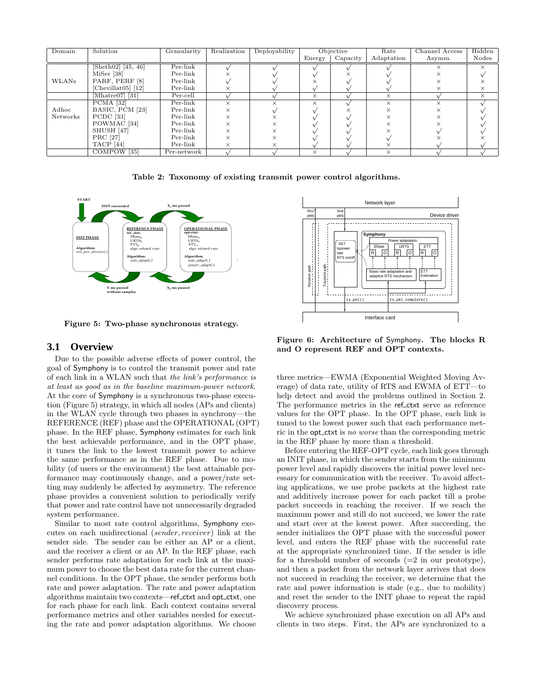| Domain   | Solution                | Granularity | Realization | Deployability |          | Objective | Rate       | Channel Access | Hidden   |
|----------|-------------------------|-------------|-------------|---------------|----------|-----------|------------|----------------|----------|
|          |                         |             |             |               | Energy   | Capacity  | Adaptation | Asymm.         | Nodes    |
|          | [Sheth02] [45, 46]      | Per-link    |             |               |          |           |            |                | $\times$ |
|          | MiSer [38]              | Per-link    |             |               |          |           |            |                |          |
| WLANs    | PARF, PERF [8]          | Per-link    |             |               |          |           |            |                |          |
|          | [Chevillat05] $[12]$    | Per-link    |             |               |          |           |            |                | $\times$ |
|          | $[{\rm Mhatre07}]$ [31] | Per-cell    |             |               | $\times$ |           | $\times$   |                | $\times$ |
|          | $PCMA$ [32]             | Per-link    | $\times$    | $\times$      | $\times$ |           | $\times$   |                |          |
| Adhoc    | BASIC, PCM [23]         | Per-link    | ×           |               |          |           |            |                |          |
| Networks | PCDC [33]               | Per-link    | $\times$    |               |          |           |            |                |          |
|          | POWMAC <sup>[34]</sup>  | Per-link    | $\times$    |               |          |           |            |                |          |
|          | SHUSH [47]              | Per-link    | $\times$    |               |          |           |            |                |          |
|          | PRC [27]                | Per-link    | ×           |               |          |           |            |                |          |
|          | TACP <sup>[44]</sup>    | Per-link    | ×           | $\times$      |          |           |            |                |          |
|          | COMPOW <sup>[35]</sup>  | Per-network |             |               | $\times$ |           | $\times$   |                |          |

Table 2: Taxonomy of existing transmit power control algorithms.



Figure 5: Two-phase synchronous strategy.

### **3.1 Overview**

Due to the possible adverse effects of power control, the goal of Symphony is to control the transmit power and rate of each link in a WLAN such that the link's performance is at least as good as in the baseline maximum-power network. At the core of Symphony is a synchronous two-phase execution (Figure 5) strategy, in which all nodes (APs and clients) in the WLAN cycle through two phases in synchrony—the REFERENCE (REF) phase and the OPERATIONAL (OPT) phase. In the REF phase, Symphony estimates for each link the best achievable performance, and in the OPT phase, it tunes the link to the lowest transmit power to achieve the same performance as in the REF phase. Due to mobility (of users or the environment) the best attainable performance may continuously change, and a power/rate setting may suddenly be affected by asymmetry. The reference phase provides a convenient solution to periodically verify that power and rate control have not unnecessarily degraded system performance.

Similar to most rate control algorithms, Symphony executes on each unidirectional (sender, receiver) link at the sender side. The sender can be either an AP or a client, and the receiver a client or an AP. In the REF phase, each sender performs rate adaptation for each link at the maximum power to choose the best data rate for the current channel conditions. In the OPT phase, the sender performs both rate and power adaptation. The rate and power adaptation algorithms maintain two contexts—ref\_ctxt and opt\_ctxt, one for each phase for each link. Each context contains several performance metrics and other variables needed for executing the rate and power adaptation algorithms. We choose



Figure 6: Architecture of Symphony. The blocks R and O represent REF and OPT contexts.

three metrics—EWMA (Exponential Weighted Moving Average) of data rate, utility of RTS and EWMA of ETT—to help detect and avoid the problems outlined in Section 2. The performance metrics in the ref\_ctxt serve as reference values for the OPT phase. In the OPT phase, each link is tuned to the lowest power such that each performance metric in the opt\_ctxt is no worse than the corresponding metric in the REF phase by more than a threshold.

Before entering the REF-OPT cycle, each link goes through an INIT phase, in which the sender starts from the minimum power level and rapidly discovers the initial power level necessary for communication with the receiver. To avoid affecting applications, we use probe packets at the highest rate and additively increase power for each packet till a probe packet succeeds in reaching the receiver. If we reach the maximum power and still do not succeed, we lower the rate and start over at the lowest power. After succeeding, the sender initializes the OPT phase with the successful power level, and enters the REF phase with the successful rate at the appropriate synchronized time. If the sender is idle for a threshold number of seconds  $(=2 \text{ in our prototype}),$ and then a packet from the network layer arrives that does not succeed in reaching the receiver, we determine that the rate and power information is stale (e.g., due to mobility) and reset the sender to the INIT phase to repeat the rapid discovery process.

We achieve synchronized phase execution on all APs and clients in two steps. First, the APs are synchronized to a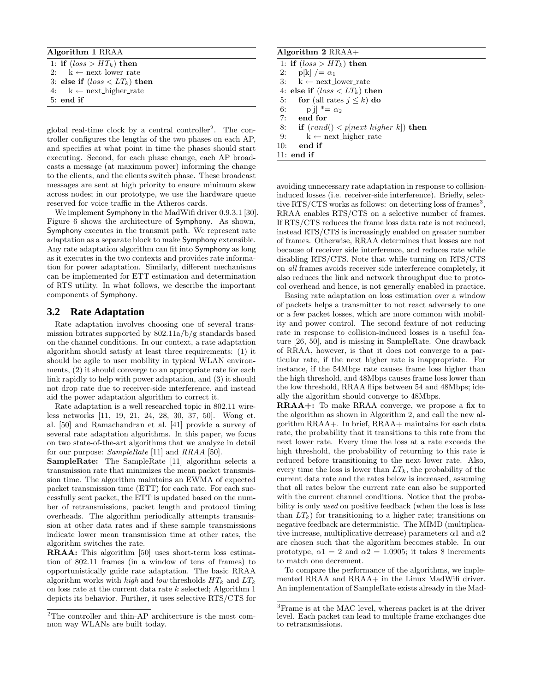| Algorithm 1 RRAA                         |  |
|------------------------------------------|--|
| 1: if $(loss > HT_k)$ then               |  |
| 2: $k \leftarrow$ next lower rate        |  |
| 3: else if $(\text{loss} < LT_k)$ then   |  |
| 4: $k \leftarrow next\_{higher\_{rate}}$ |  |
| $5:$ end if                              |  |

global real-time clock by a central controller<sup>2</sup>. The controller configures the lengths of the two phases on each AP, and specifies at what point in time the phases should start executing. Second, for each phase change, each AP broadcasts a message (at maximum power) informing the change to the clients, and the clients switch phase. These broadcast messages are sent at high priority to ensure minimum skew across nodes; in our prototype, we use the hardware queue reserved for voice traffic in the Atheros cards.

We implement Symphony in the MadWifi driver 0.9.3.1 [30]. Figure 6 shows the architecture of Symphony. As shown, Symphony executes in the transmit path. We represent rate adaptation as a separate block to make Symphony extensible. Any rate adaptation algorithm can fit into Symphony as long as it executes in the two contexts and provides rate information for power adaptation. Similarly, different mechanisms can be implemented for ETT estimation and determination of RTS utility. In what follows, we describe the important components of Symphony.

# **3.2 Rate Adaptation**

Rate adaptation involves choosing one of several transmission bitrates supported by 802.11a/b/g standards based on the channel conditions. In our context, a rate adaptation algorithm should satisfy at least three requirements: (1) it should be agile to user mobility in typical WLAN environments, (2) it should converge to an appropriate rate for each link rapidly to help with power adaptation, and (3) it should not drop rate due to receiver-side interference, and instead aid the power adaptation algorithm to correct it.

Rate adaptation is a well researched topic in 802.11 wireless networks [11, 19, 21, 24, 28, 30, 37, 50]. Wong et. al. [50] and Ramachandran et al. [41] provide a survey of several rate adaptation algorithms. In this paper, we focus on two state-of-the-art algorithms that we analyze in detail for our purpose: SampleRate [11] and RRAA [50].

SampleRate: The SampleRate [11] algorithm selects a transmission rate that minimizes the mean packet transmission time. The algorithm maintains an EWMA of expected packet transmission time (ETT) for each rate. For each successfully sent packet, the ETT is updated based on the number of retransmissions, packet length and protocol timing overheads. The algorithm periodically attempts transmission at other data rates and if these sample transmissions indicate lower mean transmission time at other rates, the algorithm switches the rate.

RRAA: This algorithm [50] uses short-term loss estimation of 802.11 frames (in a window of tens of frames) to opportunistically guide rate adaptation. The basic RRAA algorithm works with high and low thresholds  $HT_k$  and  $LT_k$ on loss rate at the current data rate k selected; Algorithm 1 depicts its behavior. Further, it uses selective RTS/CTS for

### Algorithm 2 RRAA+

- 1: if  $(\text{loss} > HT_k)$  then
- 2:  $p[k] \neq \alpha_1$
- 3:  $k \leftarrow next\_lower\_rate$
- 4: else if  $(\text{loss} < LT_k)$  then
- 5: **for** (all rates  $j \leq k$ ) do
- 6:  $p[j] = \alpha_2$
- 7: end for
- 8: if  $(rand() < p[next higher k])$  then
- 9:  $k \leftarrow next\_{higher\_{rate}}$
- 10: end if
- 11: end if

avoiding unnecessary rate adaptation in response to collisioninduced losses (i.e. receiver-side interference). Briefly, selective RTS/CTS works as follows: on detecting loss of frames<sup>3</sup>, RRAA enables RTS/CTS on a selective number of frames. If RTS/CTS reduces the frame loss data rate is not reduced, instead RTS/CTS is increasingly enabled on greater number of frames. Otherwise, RRAA determines that losses are not because of receiver side interference, and reduces rate while disabling RTS/CTS. Note that while turning on RTS/CTS on all frames avoids receiver side interference completely, it also reduces the link and network throughput due to protocol overhead and hence, is not generally enabled in practice.

Basing rate adaptation on loss estimation over a window of packets helps a transmitter to not react adversely to one or a few packet losses, which are more common with mobility and power control. The second feature of not reducing rate in response to collision-induced losses is a useful feature [26, 50], and is missing in SampleRate. One drawback of RRAA, however, is that it does not converge to a particular rate, if the next higher rate is inappropriate. For instance, if the 54Mbps rate causes frame loss higher than the high threshold, and 48Mbps causes frame loss lower than the low threshold, RRAA flips between 54 and 48Mbps; ideally the algorithm should converge to 48Mbps.

RRAA+: To make RRAA converge, we propose a fix to the algorithm as shown in Algorithm 2, and call the new algorithm RRAA+. In brief, RRAA+ maintains for each data rate, the probability that it transitions to this rate from the next lower rate. Every time the loss at a rate exceeds the high threshold, the probability of returning to this rate is reduced before transitioning to the next lower rate. Also, every time the loss is lower than  $LT_k$ , the probability of the current data rate and the rates below is increased, assuming that all rates below the current rate can also be supported with the current channel conditions. Notice that the probability is only used on positive feedback (when the loss is less than  $LT_k$ ) for transitioning to a higher rate; transitions on negative feedback are deterministic. The MIMD (multiplicative increase, multiplicative decrease) parameters  $\alpha$ 1 and  $\alpha$ 2 are chosen such that the algorithm becomes stable. In our prototype,  $\alpha$ 1 = 2 and  $\alpha$ 2 = 1.0905; it takes 8 increments to match one decrement.

To compare the performance of the algorithms, we implemented RRAA and RRAA+ in the Linux MadWifi driver. An implementation of SampleRate exists already in the Mad-

 $^{2}\mathrm{The}$  controller and thin-AP architecture is the most common way WLANs are built today.

<sup>3</sup>Frame is at the MAC level, whereas packet is at the driver level. Each packet can lead to multiple frame exchanges due to retransmissions.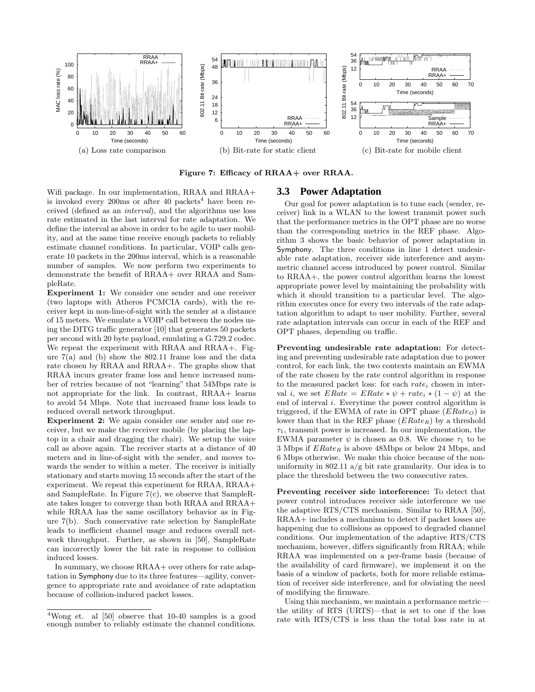

Figure 7: Efficacy of RRAA+ over RRAA.

Wifi package. In our implementation, RRAA and RRAA+ is invoked every 200ms or after 40 packets<sup>4</sup> have been received (defined as an interval), and the algorithms use loss rate estimated in the last interval for rate adaptation. We define the interval as above in order to be agile to user mobility, and at the same time receive enough packets to reliably estimate channel conditions. In particular, VOIP calls generate 10 packets in the 200ms interval, which is a reasonable number of samples. We now perform two experiments to demonstrate the benefit of RRAA+ over RRAA and SampleRate.

Experiment 1: We consider one sender and one receiver (two laptops with Atheros PCMCIA cards), with the receiver kept in non-line-of-sight with the sender at a distance of 15 meters. We emulate a VOIP call between the nodes using the DITG traffic generator [10] that generates 50 packets per second with 20 byte payload, emulating a G.729.2 codec. We repeat the experiment with RRAA and RRAA+. Figure  $7(a)$  and (b) show the 802.11 frame loss and the data rate chosen by RRAA and RRAA+. The graphs show that RRAA incurs greater frame loss and hence increased number of retries because of not "learning" that 54Mbps rate is not appropriate for the link. In contrast, RRAA+ learns to avoid 54 Mbps. Note that increased frame loss leads to reduced overall network throughput.

Experiment 2: We again consider one sender and one receiver, but we make the receiver mobile (by placing the laptop in a chair and dragging the chair). We setup the voice call as above again. The receiver starts at a distance of 40 meters and in line-of-sight with the sender, and moves towards the sender to within a meter. The receiver is initially stationary and starts moving 15 seconds after the start of the experiment. We repeat this experiment for RRAA, RRAA+ and SampleRate. In Figure 7(c), we observe that SampleRate takes longer to converge than both RRAA and RRAA+ while RRAA has the same oscillatory behavior as in Figure 7(b). Such conservative rate selection by SampleRate leads to inefficient channel usage and reduces overall network throughput. Further, as shown in [50], SampleRate can incorrectly lower the bit rate in response to collision induced losses.

In summary, we choose RRAA+ over others for rate adaptation in Symphony due to its three features—agility, convergence to appropriate rate and avoidance of rate adaptation because of collision-induced packet losses.

# **3.3 Power Adaptation**

Our goal for power adaptation is to tune each (sender, receiver) link in a WLAN to the lowest transmit power such that the performance metrics in the OPT phase are no worse than the corresponding metrics in the REF phase. Algorithm 3 shows the basic behavior of power adaptation in Symphony. The three conditions in line 1 detect undesirable rate adaptation, receiver side interference and asymmetric channel access introduced by power control. Similar to RRAA+, the power control algorithm learns the lowest appropriate power level by maintaining the probability with which it should transition to a particular level. The algorithm executes once for every two intervals of the rate adaptation algorithm to adapt to user mobility. Further, several rate adaptation intervals can occur in each of the REF and OPT phases, depending on traffic.

Preventing undesirable rate adaptation: For detecting and preventing undesirable rate adaptation due to power control, for each link, the two contexts maintain an EWMA of the rate chosen by the rate control algorithm in response to the measured packet loss: for each  $rate_i$  chosen in interval *i*, we set  $ERate = ERate * \psi + rate_i * (1 - \psi)$  at the end of interval  $i$ . Everytime the power control algorithm is triggered, if the EWMA of rate in OPT phase  $(ERate<sub>O</sub>)$  is lower than that in the REF phase  $(ERate_R)$  by a threshold  $\tau_1$ , transmit power is increased. In our implementation, the EWMA parameter  $\psi$  is chosen as 0.8. We choose  $\tau_1$  to be 3 Mbps if  $ERate_R$  is above 48Mbps or below 24 Mbps, and 6 Mbps otherwise. We make this choice because of the nonuniformity in 802.11  $a/g$  bit rate granularity. Our idea is to place the threshold between the two consecutive rates.

Preventing receiver side interference: To detect that power control introduces receiver side interference we use the adaptive RTS/CTS mechanism. Similar to RRAA [50], RRAA+ includes a mechanism to detect if packet losses are happening due to collisions as opposed to degraded channel conditions. Our implementation of the adaptive RTS/CTS mechanism, however, differs significantly from RRAA; while RRAA was implemented on a per-frame basis (because of the availability of card firmware), we implement it on the basis of a window of packets, both for more reliable estimation of receiver side interference, and for obviating the need of modifying the firmware.

Using this mechanism, we maintain a performance metric the utility of RTS (URTS)—that is set to one if the loss rate with RTS/CTS is less than the total loss rate in at

<sup>4</sup>Wong et. al [50] observe that 10-40 samples is a good enough number to reliably estimate the channel conditions.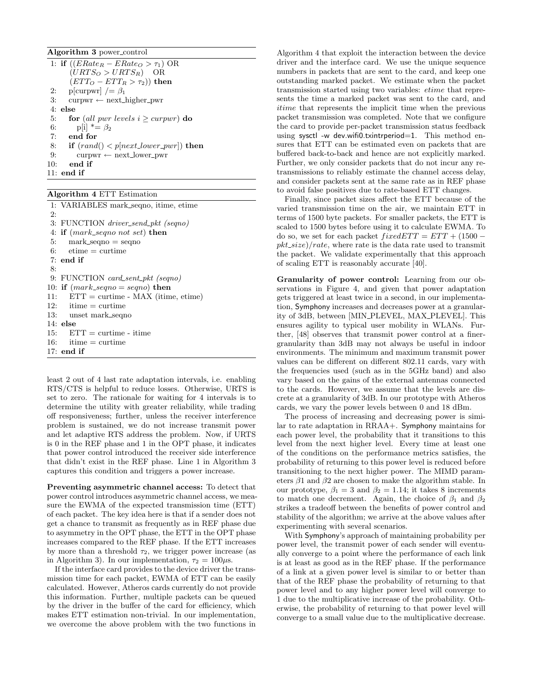Algorithm 3 power\_control

1: if  $((ERate_R - ERate_O > \tau_1) \text{ OR }$  $(URTS_O > URTS_R)$  OR  $(ETT_O - ETT_R > \tau_2)$ ) then 2: p[curpwr]  $/=\beta_1$ 3: curpwr  $\leftarrow$  next\_higher\_pwr 4: else 5: for (all pwr levels  $i \geq \text{curve}$ ) do 6:  $p[i] = \beta_2$ 7: end for 8: if  $(rand() < p[next\_lower\_pur])$  then 9:  $\text{curpwr} \leftarrow \text{next\_lower\_pwr}$ 10: end if 11: end if

#### Algorithm 4 ETT Estimation

|    | 1: VARIABLES mark_seqno, itime, etime                 |
|----|-------------------------------------------------------|
| 2: |                                                       |
|    | 3: FUNCTION driver_send_pkt (seqno)                   |
|    | 4: if $(mark\_seqno \; not \; set)$ then              |
|    | 5: $mark\_seqno = seqno$                              |
|    | $6:$ etime = curtime                                  |
|    | $7:$ end if                                           |
| 8: |                                                       |
|    | 9: FUNCTION card_sent_pkt (seqno)                     |
|    | 10: if $(mark\_seqno = seqno)$ then                   |
|    | 11: $ETT = \text{cutime} - \text{MAX}$ (itime, etime) |
|    | 12: itime $=$ curtime                                 |
|    | 13: unset mark_seqno                                  |
|    | $14:$ else                                            |
|    | 15: $ETT =$ curtime - itime                           |
|    | 16: itime $=$ curtime                                 |
|    | $17:$ end if                                          |
|    |                                                       |

least 2 out of 4 last rate adaptation intervals, i.e. enabling RTS/CTS is helpful to reduce losses. Otherwise, URTS is set to zero. The rationale for waiting for 4 intervals is to determine the utility with greater reliability, while trading off responsiveness; further, unless the receiver interference problem is sustained, we do not increase transmit power and let adaptive RTS address the problem. Now, if URTS is 0 in the REF phase and 1 in the OPT phase, it indicates that power control introduced the receiver side interference that didn't exist in the REF phase. Line 1 in Algorithm 3 captures this condition and triggers a power increase.

Preventing asymmetric channel access: To detect that power control introduces asymmetric channel access, we measure the EWMA of the expected transmission time (ETT) of each packet. The key idea here is that if a sender does not get a chance to transmit as frequently as in REF phase due to asymmetry in the OPT phase, the ETT in the OPT phase increases compared to the REF phase. If the ETT increases by more than a threshold  $\tau_2$ , we trigger power increase (as in Algorithm 3). In our implementation,  $\tau_2 = 100 \mu s$ .

If the interface card provides to the device driver the transmission time for each packet, EWMA of ETT can be easily calculated. However, Atheros cards currently do not provide this information. Further, multiple packets can be queued by the driver in the buffer of the card for efficiency, which makes ETT estimation non-trivial. In our implementation, we overcome the above problem with the two functions in

Algorithm 4 that exploit the interaction between the device driver and the interface card. We use the unique sequence numbers in packets that are sent to the card, and keep one outstanding marked packet. We estimate when the packet transmission started using two variables: etime that represents the time a marked packet was sent to the card, and itime that represents the implicit time when the previous packet transmission was completed. Note that we configure the card to provide per-packet transmission status feedback using sysctl -w dev.wifi0.txintrperiod=1. This method ensures that ETT can be estimated even on packets that are buffered back-to-back and hence are not explicitly marked. Further, we only consider packets that do not incur any retransmissions to reliably estimate the channel access delay, and consider packets sent at the same rate as in REF phase to avoid false positives due to rate-based ETT changes.

Finally, since packet sizes affect the ETT because of the varied transmission time on the air, we maintain ETT in terms of 1500 byte packets. For smaller packets, the ETT is scaled to 1500 bytes before using it to calculate EWMA. To do so, we set for each packet  $fixedETT = ETT + (1500$  $pkt\_size$ / $rate$ , where rate is the data rate used to transmit the packet. We validate experimentally that this approach of scaling ETT is reasonably accurate [40].

Granularity of power control: Learning from our observations in Figure 4, and given that power adaptation gets triggered at least twice in a second, in our implementation, Symphony increases and decreases power at a granularity of 3dB, between [MIN PLEVEL, MAX PLEVEL]. This ensures agility to typical user mobility in WLANs. Further, [48] observes that transmit power control at a finergranularity than 3dB may not always be useful in indoor environments. The minimum and maximum transmit power values can be different on different 802.11 cards, vary with the frequencies used (such as in the 5GHz band) and also vary based on the gains of the external antennas connected to the cards. However, we assume that the levels are discrete at a granularity of 3dB. In our prototype with Atheros cards, we vary the power levels between 0 and 18 dBm.

The process of increasing and decreasing power is similar to rate adaptation in RRAA+. Symphony maintains for each power level, the probability that it transitions to this level from the next higher level. Every time at least one of the conditions on the performance metrics satisfies, the probability of returning to this power level is reduced before transitioning to the next higher power. The MIMD parameters  $\beta$ 1 and  $\beta$ 2 are chosen to make the algorithm stable. In our prototype,  $\beta_1 = 3$  and  $\beta_2 = 1.14$ ; it takes 8 increments to match one decrement. Again, the choice of  $\beta_1$  and  $\beta_2$ strikes a tradeoff between the benefits of power control and stability of the algorithm; we arrive at the above values after experimenting with several scenarios.

With Symphony's approach of maintaining probability per power level, the transmit power of each sender will eventually converge to a point where the performance of each link is at least as good as in the REF phase. If the performance of a link at a given power level is similar to or better than that of the REF phase the probability of returning to that power level and to any higher power level will converge to 1 due to the multiplicative increase of the probability. Otherwise, the probability of returning to that power level will converge to a small value due to the multiplicative decrease.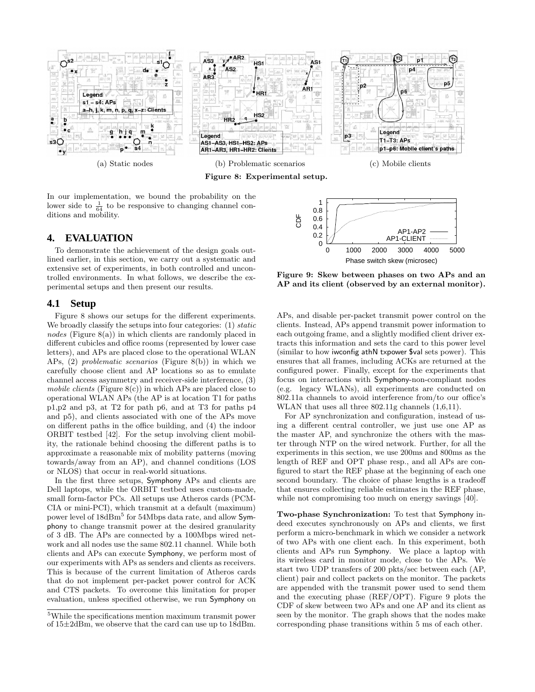

In our implementation, we bound the probability on the lower side to  $\frac{1}{64}$  to be responsive to changing channel conditions and mobility.

## **4. EVALUATION**

To demonstrate the achievement of the design goals outlined earlier, in this section, we carry out a systematic and extensive set of experiments, in both controlled and uncontrolled environments. In what follows, we describe the experimental setups and then present our results.

### **4.1 Setup**

Figure 8 shows our setups for the different experiments. We broadly classify the setups into four categories: (1) *static* nodes (Figure 8(a)) in which clients are randomly placed in different cubicles and office rooms (represented by lower case letters), and APs are placed close to the operational WLAN APs, (2) problematic scenarios (Figure 8(b)) in which we carefully choose client and AP locations so as to emulate channel access asymmetry and receiver-side interference, (3) *mobile clients* (Figure  $8(c)$ ) in which APs are placed close to operational WLAN APs (the AP is at location T1 for paths p1,p2 and p3, at T2 for path p6, and at T3 for paths p4 and p5), and clients associated with one of the APs move on different paths in the office building, and (4) the indoor ORBIT testbed [42]. For the setup involving client mobility, the rationale behind choosing the different paths is to approximate a reasonable mix of mobility patterns (moving towards/away from an AP), and channel conditions (LOS or NLOS) that occur in real-world situations.

In the first three setups, Symphony APs and clients are Dell laptops, while the ORBIT testbed uses custom-made, small form-factor PCs. All setups use Atheros cards (PCM-CIA or mini-PCI), which transmit at a default (maximum) power level of  $18\text{dBm}^5$  for 54Mbps data rate, and allow Symphony to change transmit power at the desired granularity of 3 dB. The APs are connected by a 100Mbps wired network and all nodes use the same 802.11 channel. While both clients and APs can execute Symphony, we perform most of our experiments with APs as senders and clients as receivers. This is because of the current limitation of Atheros cards that do not implement per-packet power control for ACK and CTS packets. To overcome this limitation for proper evaluation, unless specified otherwise, we run Symphony on



Figure 9: Skew between phases on two APs and an AP and its client (observed by an external monitor).

APs, and disable per-packet transmit power control on the clients. Instead, APs append transmit power information to each outgoing frame, and a slightly modified client driver extracts this information and sets the card to this power level (similar to how iwconfig athN txpower \$val sets power). This ensures that all frames, including ACKs are returned at the configured power. Finally, except for the experiments that focus on interactions with Symphony-non-compliant nodes (e.g. legacy WLANs), all experiments are conducted on 802.11a channels to avoid interference from/to our office's WLAN that uses all three 802.11g channels (1,6,11).

For AP synchronization and configuration, instead of using a different central controller, we just use one AP as the master AP, and synchronize the others with the master through NTP on the wired network. Further, for all the experiments in this section, we use 200ms and 800ms as the length of REF and OPT phase resp., and all APs are configured to start the REF phase at the beginning of each one second boundary. The choice of phase lengths is a tradeoff that ensures collecting reliable estimates in the REF phase, while not compromising too much on energy savings [40].

Two-phase Synchronization: To test that Symphony indeed executes synchronously on APs and clients, we first perform a micro-benchmark in which we consider a network of two APs with one client each. In this experiment, both clients and APs run Symphony. We place a laptop with its wireless card in monitor mode, close to the APs. We start two UDP transfers of 200 pkts/sec between each (AP, client) pair and collect packets on the monitor. The packets are appended with the transmit power used to send them and the executing phase (REF/OPT). Figure 9 plots the CDF of skew between two APs and one AP and its client as seen by the monitor. The graph shows that the nodes make corresponding phase transitions within 5 ms of each other.

<sup>5</sup>While the specifications mention maximum transmit power of 15±2dBm, we observe that the card can use up to 18dBm.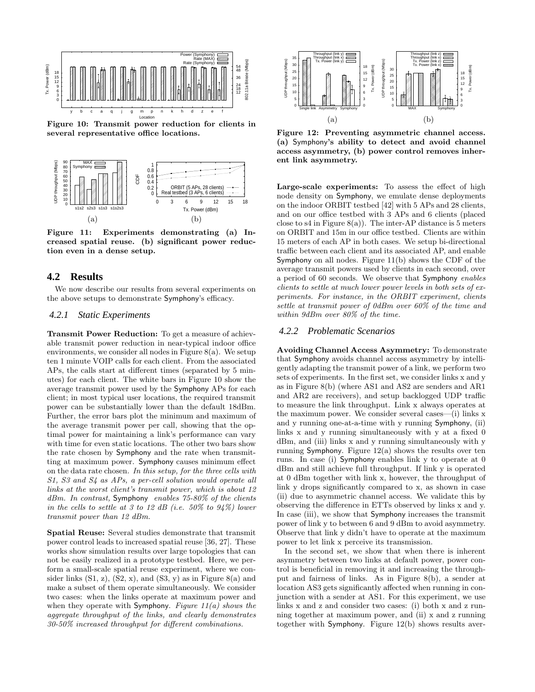

Figure 10: Transmit power reduction for clients in several representative office locations.



Figure 11: Experiments demonstrating (a) Increased spatial reuse. (b) significant power reduction even in a dense setup.

### **4.2 Results**

We now describe our results from several experiments on the above setups to demonstrate Symphony's efficacy.

### *4.2.1 Static Experiments*

Transmit Power Reduction: To get a measure of achievable transmit power reduction in near-typical indoor office environments, we consider all nodes in Figure  $8(a)$ . We setup ten 1 minute VOIP calls for each client. From the associated APs, the calls start at different times (separated by 5 minutes) for each client. The white bars in Figure 10 show the average transmit power used by the Symphony APs for each client; in most typical user locations, the required transmit power can be substantially lower than the default 18dBm. Further, the error bars plot the minimum and maximum of the average transmit power per call, showing that the optimal power for maintaining a link's performance can vary with time for even static locations. The other two bars show the rate chosen by Symphony and the rate when transmitting at maximum power. Symphony causes minimum effect on the data rate chosen. In this setup, for the three cells with S1, S3 and S4 as APs, a per-cell solution would operate all links at the worst client's transmit power, which is about 12 dBm. In contrast, Symphony enables 75-80% of the clients in the cells to settle at 3 to 12 dB (i.e.  $50\%$  to  $94\%$ ) lower transmit power than 12 dBm.

Spatial Reuse: Several studies demonstrate that transmit power control leads to increased spatial reuse [36, 27]. These works show simulation results over large topologies that can not be easily realized in a prototype testbed. Here, we perform a small-scale spatial reuse experiment, where we consider links  $(S1, z)$ ,  $(S2, x)$ , and  $(S3, y)$  as in Figure  $8(a)$  and make a subset of them operate simultaneously. We consider two cases: when the links operate at maximum power and when they operate with Symphony. Figure  $11(a)$  shows the aggregate throughput of the links, and clearly demonstrates 30-50% increased throughput for different combinations.



Figure 12: Preventing asymmetric channel access. (a) Symphony's ability to detect and avoid channel access asymmetry, (b) power control removes inherent link asymmetry.

Large-scale experiments: To assess the effect of high node density on Symphony, we emulate dense deployments on the indoor ORBIT testbed [42] with 5 APs and 28 clients, and on our office testbed with 3 APs and 6 clients (placed close to s4 in Figure  $8(a)$ ). The inter-AP distance is 5 meters on ORBIT and 15m in our office testbed. Clients are within 15 meters of each AP in both cases. We setup bi-directional traffic between each client and its associated AP, and enable Symphony on all nodes. Figure 11(b) shows the CDF of the average transmit powers used by clients in each second, over a period of 60 seconds. We observe that Symphony enables clients to settle at much lower power levels in both sets of experiments. For instance, in the ORBIT experiment, clients settle at transmit power of 0dBm over 60% of the time and within 9dBm over 80% of the time.

### *4.2.2 Problematic Scenarios*

Avoiding Channel Access Asymmetry: To demonstrate that Symphony avoids channel access asymmetry by intelligently adapting the transmit power of a link, we perform two sets of experiments. In the first set, we consider links x and y as in Figure 8(b) (where AS1 and AS2 are senders and AR1 and AR2 are receivers), and setup backlogged UDP traffic to measure the link throughput. Link x always operates at the maximum power. We consider several cases—(i) links x and y running one-at-a-time with y running Symphony, (ii) links x and y running simultaneously with y at a fixed 0 dBm, and (iii) links x and y running simultaneously with y running Symphony. Figure 12(a) shows the results over ten runs. In case (i) Symphony enables link y to operate at 0 dBm and still achieve full throughput. If link y is operated at 0 dBm together with link x, however, the throughput of link y drops significantly compared to x, as shown in case (ii) due to asymmetric channel access. We validate this by observing the difference in ETTs observed by links x and y. In case (iii), we show that Symphony increases the transmit power of link y to between 6 and 9 dBm to avoid asymmetry. Observe that link y didn't have to operate at the maximum power to let link x perceive its transmission.

In the second set, we show that when there is inherent asymmetry between two links at default power, power control is beneficial in removing it and increasing the throughput and fairness of links. As in Figure 8(b), a sender at location AS3 gets significantly affected when running in conjunction with a sender at AS1. For this experiment, we use links x and z and consider two cases: (i) both x and z running together at maximum power, and (ii) x and z running together with Symphony. Figure 12(b) shows results aver-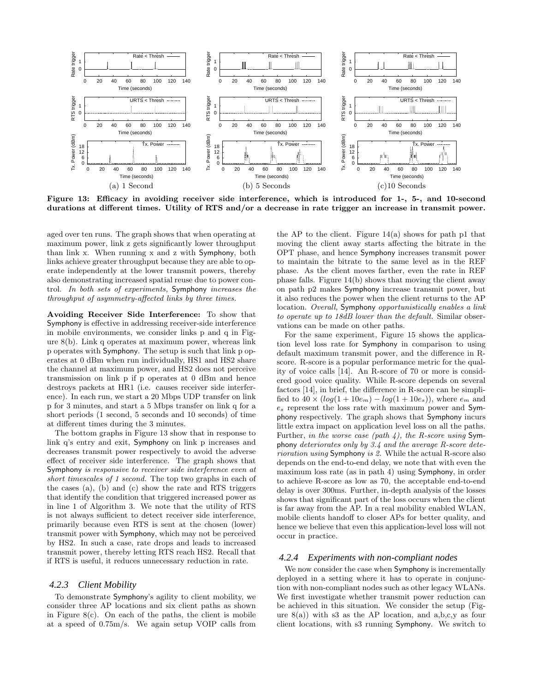

Figure 13: Efficacy in avoiding receiver side interference, which is introduced for 1-, 5-, and 10-second durations at different times. Utility of RTS and/or a decrease in rate trigger an increase in transmit power.

aged over ten runs. The graph shows that when operating at maximum power, link z gets significantly lower throughput than link x. When running x and z with Symphony, both links achieve greater throughput because they are able to operate independently at the lower transmit powers, thereby also demonstrating increased spatial reuse due to power control. In both sets of experiments, Symphony increases the throughput of asymmetry-affected links by three times.

Avoiding Receiver Side Interference: To show that Symphony is effective in addressing receiver-side interference in mobile environments, we consider links p and q in Figure 8(b). Link q operates at maximum power, whereas link p operates with Symphony. The setup is such that link p operates at 0 dBm when run individually, HS1 and HS2 share the channel at maximum power, and HS2 does not perceive transmission on link p if p operates at 0 dBm and hence destroys packets at HR1 (i.e. causes receiver side interference). In each run, we start a 20 Mbps UDP transfer on link p for 3 minutes, and start a 5 Mbps transfer on link q for a short periods (1 second, 5 seconds and 10 seconds) of time at different times during the 3 minutes.

The bottom graphs in Figure 13 show that in response to link q's entry and exit, Symphony on link p increases and decreases transmit power respectively to avoid the adverse effect of receiver side interference. The graph shows that Symphony is responsive to receiver side interference even at short timescales of 1 second. The top two graphs in each of the cases (a), (b) and (c) show the rate and RTS triggers that identify the condition that triggered increased power as in line 1 of Algorithm 3. We note that the utility of RTS is not always sufficient to detect receiver side interference, primarily because even RTS is sent at the chosen (lower) transmit power with Symphony, which may not be perceived by HS2. In such a case, rate drops and leads to increased transmit power, thereby letting RTS reach HS2. Recall that if RTS is useful, it reduces unnecessary reduction in rate.

#### *4.2.3 Client Mobility*

To demonstrate Symphony's agility to client mobility, we consider three AP locations and six client paths as shown in Figure  $8(c)$ . On each of the paths, the client is mobile at a speed of 0.75m/s. We again setup VOIP calls from

the AP to the client. Figure  $14(a)$  shows for path p1 that moving the client away starts affecting the bitrate in the OPT phase, and hence Symphony increases transmit power to maintain the bitrate to the same level as in the REF phase. As the client moves farther, even the rate in REF phase falls. Figure 14(b) shows that moving the client away on path p2 makes Symphony increase transmit power, but it also reduces the power when the client returns to the AP location. Overall, Symphony opportunistically enables a link to operate up to 18dB lower than the default. Similar observations can be made on other paths.

For the same experiment, Figure 15 shows the application level loss rate for Symphony in comparison to using default maximum transmit power, and the difference in Rscore. R-score is a popular performance metric for the quality of voice calls [14]. An R-score of 70 or more is considered good voice quality. While R-score depends on several factors [14], in brief, the difference in R-score can be simplified to  $40 \times (log(1 + 10e_m) - log(1 + 10e_s))$ , where  $e_m$  and  $e_s$  represent the loss rate with maximum power and Symphony respectively. The graph shows that Symphony incurs little extra impact on application level loss on all the paths. Further, in the worse case (path  $4$ ), the R-score using Symphony deteriorates only by 3.4 and the average R-score deterioration using Symphony is 2. While the actual R-score also depends on the end-to-end delay, we note that with even the maximum loss rate (as in path 4) using Symphony, in order to achieve R-score as low as 70, the acceptable end-to-end delay is over 300ms. Further, in-depth analysis of the losses shows that significant part of the loss occurs when the client is far away from the AP. In a real mobility enabled WLAN, mobile clients handoff to closer APs for better quality, and hence we believe that even this application-level loss will not occur in practice.

#### *4.2.4 Experiments with non-compliant nodes*

We now consider the case when Symphony is incrementally deployed in a setting where it has to operate in conjunction with non-compliant nodes such as other legacy WLANs. We first investigate whether transmit power reduction can be achieved in this situation. We consider the setup (Figure  $8(a)$ ) with s3 as the AP location, and a,b,c,y as four client locations, with s3 running Symphony. We switch to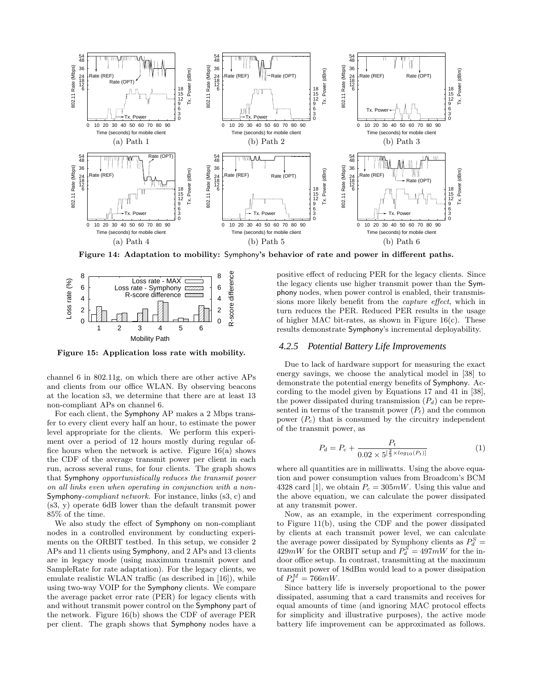

Figure 14: Adaptation to mobility: Symphony's behavior of rate and power in different paths.



Figure 15: Application loss rate with mobility.

channel 6 in 802.11g, on which there are other active APs and clients from our office WLAN. By observing beacons at the location s3, we determine that there are at least 13 non-compliant APs on channel 6.

For each client, the Symphony AP makes a 2 Mbps transfer to every client every half an hour, to estimate the power level appropriate for the clients. We perform this experiment over a period of 12 hours mostly during regular office hours when the network is active. Figure  $16(a)$  shows the CDF of the average transmit power per client in each run, across several runs, for four clients. The graph shows that Symphony opportunistically reduces the transmit power on all links even when operating in conjunction with a non-Symphony-compliant network. For instance, links (s3, c) and (s3, y) operate 6dB lower than the default transmit power 85% of the time.

We also study the effect of Symphony on non-compliant nodes in a controlled environment by conducting experiments on the ORBIT testbed. In this setup, we consider 2 APs and 11 clients using Symphony, and 2 APs and 13 clients are in legacy mode (using maximum transmit power and SampleRate for rate adaptation). For the legacy clients, we emulate realistic WLAN traffic (as described in [16]), while using two-way VOIP for the Symphony clients. We compare the average packet error rate (PER) for legacy clients with and without transmit power control on the Symphony part of the network. Figure 16(b) shows the CDF of average PER per client. The graph shows that Symphony nodes have a positive effect of reducing PER for the legacy clients. Since the legacy clients use higher transmit power than the Symphony nodes, when power control is enabled, their transmissions more likely benefit from the capture effect, which in turn reduces the PER. Reduced PER results in the usage of higher MAC bit-rates, as shown in Figure  $16(c)$ . These results demonstrate Symphony's incremental deployability.

### *4.2.5 Potential Battery Life Improvements*

Due to lack of hardware support for measuring the exact energy savings, we choose the analytical model in [38] to demonstrate the potential energy benefits of Symphony. According to the model given by Equations 17 and 41 in [38], the power dissipated during transmission  $(P_d)$  can be represented in terms of the transmit power  $(P_t)$  and the common power  $(P_c)$  that is consumed by the circuitry independent of the transmit power, as

$$
P_d = P_c + \frac{P_t}{0.02 \times 5^{\left[\frac{2}{3} \times \log_{10}(P_t)\right]}}
$$
(1)

where all quantities are in milliwatts. Using the above equation and power consumption values from Broadcom's BCM 4328 card [1], we obtain  $P_c = 305mW$ . Using this value and the above equation, we can calculate the power dissipated at any transmit power.

Now, as an example, in the experiment corresponding to Figure 11(b), using the CDF and the power dissipated by clients at each transmit power level, we can calculate the average power dissipated by Symphony clients as  $P_d^S$  =  $429mW$  for the ORBIT setup and  $P_d^S = 497mW$  for the indoor office setup. In contrast, transmitting at the maximum transmit power of 18dBm would lead to a power dissipation of  $P_d^M = 766mW$ .

Since battery life is inversely proportional to the power dissipated, assuming that a card transmits and receives for equal amounts of time (and ignoring MAC protocol effects for simplicity and illustrative purposes), the active mode battery life improvement can be approximated as follows.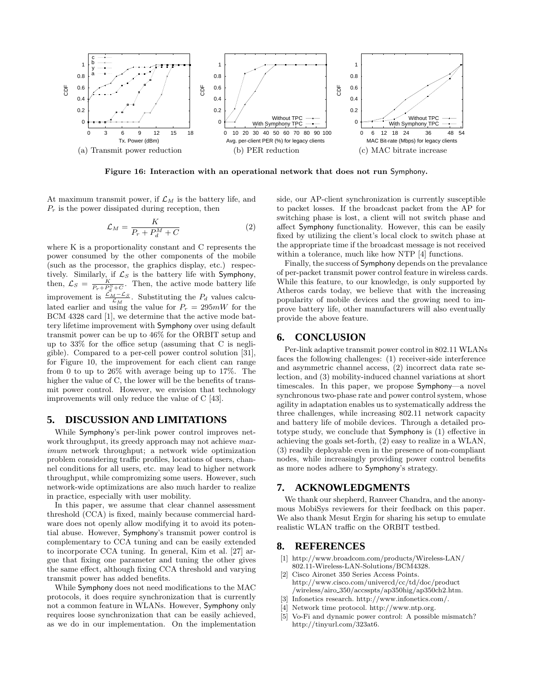

Figure 16: Interaction with an operational network that does not run Symphony.

At maximum transmit power, if  $\mathcal{L}_M$  is the battery life, and  $P_r$  is the power dissipated during reception, then

$$
\mathcal{L}_M = \frac{K}{P_r + P_d^M + C} \tag{2}
$$

where K is a proportionality constant and C represents the power consumed by the other components of the mobile (such as the processor, the graphics display, etc.) respectively. Similarly, if  $\mathcal{L}_S$  is the battery life with Symphony, then,  $\mathcal{L}_S = \frac{K}{P_r + P_d^S + C}$ . Then, the active mode battery life improvement is  $\frac{\mathcal{L}_M-\mathcal{L}_S}{\mathcal{L}_M}$ . Substituting the  $P_d$  values calculated earlier and using the value for  $P_r = 295mW$  for the BCM 4328 card [1], we determine that the active mode battery lifetime improvement with Symphony over using default transmit power can be up to 46% for the ORBIT setup and up to 33% for the office setup (assuming that C is negligible). Compared to a per-cell power control solution [31], for Figure 10, the improvement for each client can range from 0 to up to 26% with average being up to 17%. The higher the value of C, the lower will be the benefits of transmit power control. However, we envision that technology improvements will only reduce the value of C [43].

# **5. DISCUSSION AND LIMITATIONS**

While Symphony's per-link power control improves network throughput, its greedy approach may not achieve maximum network throughput; a network wide optimization problem considering traffic profiles, locations of users, channel conditions for all users, etc. may lead to higher network throughput, while compromizing some users. However, such network-wide optimizations are also much harder to realize in practice, especially with user mobility.

In this paper, we assume that clear channel assessment threshold (CCA) is fixed, mainly because commercial hardware does not openly allow modifying it to avoid its potential abuse. However, Symphony's transmit power control is complementary to CCA tuning and can be easily extended to incorporate CCA tuning. In general, Kim et al. [27] argue that fixing one parameter and tuning the other gives the same effect, although fixing CCA threshold and varying transmit power has added benefits.

While Symphony does not need modifications to the MAC protocols, it does require synchronization that is currently not a common feature in WLANs. However, Symphony only requires loose synchronization that can be easily achieved, as we do in our implementation. On the implementation side, our AP-client synchronization is currently susceptible to packet losses. If the broadcast packet from the AP for switching phase is lost, a client will not switch phase and affect Symphony functionality. However, this can be easily fixed by utilizing the client's local clock to switch phase at the appropriate time if the broadcast message is not received within a tolerance, much like how NTP [4] functions.

Finally, the success of Symphony depends on the prevalance of per-packet transmit power control feature in wireless cards. While this feature, to our knowledge, is only supported by Atheros cards today, we believe that with the increasing popularity of mobile devices and the growing need to improve battery life, other manufacturers will also eventually provide the above feature.

# **6. CONCLUSION**

Per-link adaptive transmit power control in 802.11 WLANs faces the following challenges: (1) receiver-side interference and asymmetric channel access, (2) incorrect data rate selection, and (3) mobility-induced channel variations at short timescales. In this paper, we propose Symphony—a novel synchronous two-phase rate and power control system, whose agility in adaptation enables us to systematically address the three challenges, while increasing 802.11 network capacity and battery life of mobile devices. Through a detailed prototype study, we conclude that Symphony is (1) effective in achieving the goals set-forth, (2) easy to realize in a WLAN, (3) readily deployable even in the presence of non-compliant nodes, while increasingly providing power control benefits as more nodes adhere to Symphony's strategy.

# **7. ACKNOWLEDGMENTS**

We thank our shepherd, Ranveer Chandra, and the anonymous MobiSys reviewers for their feedback on this paper. We also thank Mesut Ergin for sharing his setup to emulate realistic WLAN traffic on the ORBIT testbed.

# **8. REFERENCES**

- [1] http://www.broadcom.com/products/Wireless-LAN/ 802.11-Wireless-LAN-Solutions/BCM4328.
- [2] Cisco Aironet 350 Series Access Points. http://www.cisco.com/univercd/cc/td/doc/product /wireless/airo 350/accsspts/ap350hig/ap350ch2.htm.
- [3] Infonetics research. http://www.infonetics.com/.
- [4] Network time protocol. http://www.ntp.org.
- [5] Vo-Fi and dynamic power control: A possible mismatch? http://tinyurl.com/323at6.